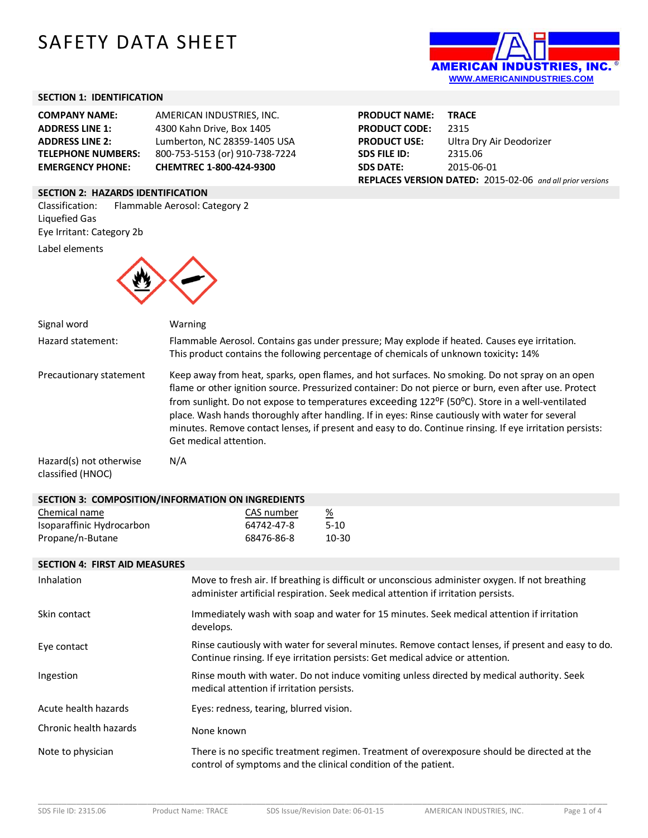# SAFETY DATA SHEET



### **SECTION 1: IDENTIFICATION**

| <b>COMPANY NAME:</b>      | AMERICAN INDUSTRIES, INC.      |
|---------------------------|--------------------------------|
| <b>ADDRESS LINE 1:</b>    | 4300 Kahn Drive, Box 1405      |
| <b>ADDRESS LINE 2:</b>    | Lumberton, NC 28359-1405 USA   |
| <b>TELEPHONE NUMBERS:</b> | 800-753-5153 (or) 910-738-7224 |
| <b>EMERGENCY PHONE:</b>   | CHEMTREC 1-800-424-9300        |

### **SECTION 2: HAZARDS IDENTIFICATION**

Classification: Flammable Aerosol: Category 2 Liquefied Gas Eye Irritant: Category 2b

Label elements



| Signal word                                  | Warning                                                                                                                                                                                                                                                                                                                                                                                                                                                                                                                                               |  |
|----------------------------------------------|-------------------------------------------------------------------------------------------------------------------------------------------------------------------------------------------------------------------------------------------------------------------------------------------------------------------------------------------------------------------------------------------------------------------------------------------------------------------------------------------------------------------------------------------------------|--|
| Hazard statement:                            | Flammable Aerosol. Contains gas under pressure; May explode if heated. Causes eye irritation.<br>This product contains the following percentage of chemicals of unknown toxicity: 14%                                                                                                                                                                                                                                                                                                                                                                 |  |
| Precautionary statement                      | Keep away from heat, sparks, open flames, and hot surfaces. No smoking. Do not spray on an open<br>flame or other ignition source. Pressurized container: Do not pierce or burn, even after use. Protect<br>from sunlight. Do not expose to temperatures exceeding 122°F (50°C). Store in a well-ventilated<br>place. Wash hands thoroughly after handling. If in eyes: Rinse cautiously with water for several<br>minutes. Remove contact lenses, if present and easy to do. Continue rinsing. If eye irritation persists:<br>Get medical attention. |  |
| Hazard(s) not otherwise<br>classified (HNOC) | N/A                                                                                                                                                                                                                                                                                                                                                                                                                                                                                                                                                   |  |
|                                              | SECTION 3: COMPOSITION/INFORMATION ON INGREDIENTS                                                                                                                                                                                                                                                                                                                                                                                                                                                                                                     |  |
| Chemical name                                | CAS number<br>$\frac{\%}{\%}$                                                                                                                                                                                                                                                                                                                                                                                                                                                                                                                         |  |
| Isoparaffinic Hydrocarbon                    | $5 - 10$<br>64742-47-8                                                                                                                                                                                                                                                                                                                                                                                                                                                                                                                                |  |
| Propane/n-Butane                             | 68476-86-8<br>10-30                                                                                                                                                                                                                                                                                                                                                                                                                                                                                                                                   |  |
| <b>SECTION 4: FIRST AID MEASURES</b>         |                                                                                                                                                                                                                                                                                                                                                                                                                                                                                                                                                       |  |
| Inhalation                                   | Move to fresh air. If breathing is difficult or unconscious administer oxygen. If not breathing<br>administer artificial respiration. Seek medical attention if irritation persists.                                                                                                                                                                                                                                                                                                                                                                  |  |
| Skin contact                                 | Immediately wash with soap and water for 15 minutes. Seek medical attention if irritation<br>develops.                                                                                                                                                                                                                                                                                                                                                                                                                                                |  |
| Eye contact                                  | Rinse cautiously with water for several minutes. Remove contact lenses, if present and easy to do.<br>Continue rinsing. If eye irritation persists: Get medical advice or attention.                                                                                                                                                                                                                                                                                                                                                                  |  |
| Ingestion                                    | Rinse mouth with water. Do not induce vomiting unless directed by medical authority. Seek<br>medical attention if irritation persists.                                                                                                                                                                                                                                                                                                                                                                                                                |  |
| Acute health hazards                         | Eyes: redness, tearing, blurred vision.                                                                                                                                                                                                                                                                                                                                                                                                                                                                                                               |  |
| Chronic health hazards                       | None known                                                                                                                                                                                                                                                                                                                                                                                                                                                                                                                                            |  |
| Note to physician                            | There is no specific treatment regimen. Treatment of overexposure should be directed at the<br>control of symptoms and the clinical condition of the patient.                                                                                                                                                                                                                                                                                                                                                                                         |  |

| <b>PRODUCT NAME:</b>                                      | <b>TRACE</b>             |
|-----------------------------------------------------------|--------------------------|
| <b>PRODUCT CODE:</b>                                      | 2315                     |
| <b>PRODUCT USE:</b>                                       | Ultra Dry Air Deodorizer |
| <b>SDS FILE ID:</b>                                       | 2315.06                  |
| <b>SDS DATE:</b>                                          | 2015-06-01               |
| REPLACES VERSION DATED: 2015-02-06 and all prior versions |                          |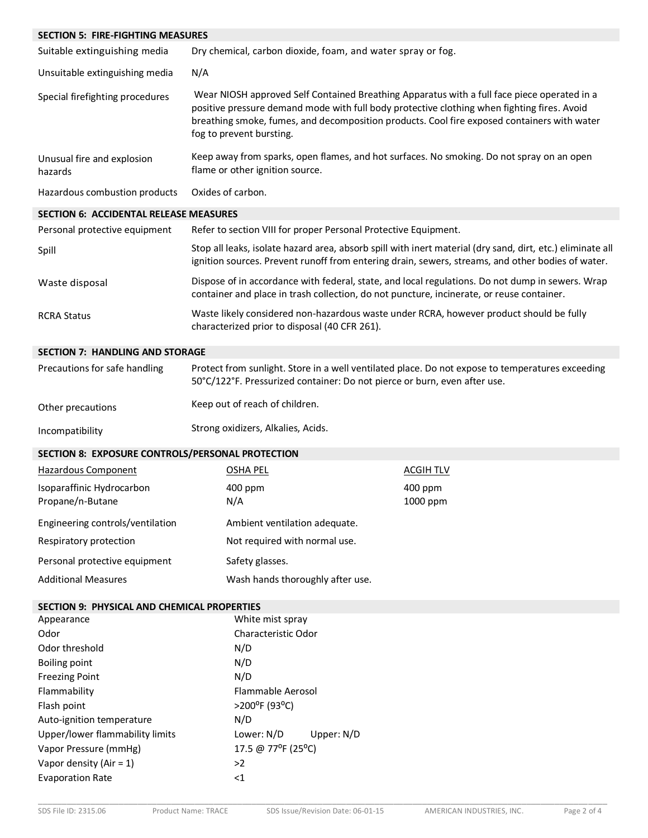| <b>SECTION 5: FIRE-FIGHTING MEASURES</b>           |                                                                                                                                                                                                                                                                                                                       |                                                                                                                                                                                                                 |  |
|----------------------------------------------------|-----------------------------------------------------------------------------------------------------------------------------------------------------------------------------------------------------------------------------------------------------------------------------------------------------------------------|-----------------------------------------------------------------------------------------------------------------------------------------------------------------------------------------------------------------|--|
| Suitable extinguishing media                       | Dry chemical, carbon dioxide, foam, and water spray or fog.                                                                                                                                                                                                                                                           |                                                                                                                                                                                                                 |  |
| Unsuitable extinguishing media                     | N/A                                                                                                                                                                                                                                                                                                                   |                                                                                                                                                                                                                 |  |
| Special firefighting procedures                    | Wear NIOSH approved Self Contained Breathing Apparatus with a full face piece operated in a<br>positive pressure demand mode with full body protective clothing when fighting fires. Avoid<br>breathing smoke, fumes, and decomposition products. Cool fire exposed containers with water<br>fog to prevent bursting. |                                                                                                                                                                                                                 |  |
| Unusual fire and explosion<br>hazards              | Keep away from sparks, open flames, and hot surfaces. No smoking. Do not spray on an open<br>flame or other ignition source.                                                                                                                                                                                          |                                                                                                                                                                                                                 |  |
| Hazardous combustion products                      | Oxides of carbon.                                                                                                                                                                                                                                                                                                     |                                                                                                                                                                                                                 |  |
| <b>SECTION 6: ACCIDENTAL RELEASE MEASURES</b>      |                                                                                                                                                                                                                                                                                                                       |                                                                                                                                                                                                                 |  |
| Personal protective equipment                      | Refer to section VIII for proper Personal Protective Equipment.                                                                                                                                                                                                                                                       |                                                                                                                                                                                                                 |  |
| Spill                                              |                                                                                                                                                                                                                                                                                                                       | Stop all leaks, isolate hazard area, absorb spill with inert material (dry sand, dirt, etc.) eliminate all<br>ignition sources. Prevent runoff from entering drain, sewers, streams, and other bodies of water. |  |
| Waste disposal                                     | container and place in trash collection, do not puncture, incinerate, or reuse container.                                                                                                                                                                                                                             | Dispose of in accordance with federal, state, and local regulations. Do not dump in sewers. Wrap                                                                                                                |  |
| <b>RCRA Status</b>                                 | Waste likely considered non-hazardous waste under RCRA, however product should be fully<br>characterized prior to disposal (40 CFR 261).                                                                                                                                                                              |                                                                                                                                                                                                                 |  |
| <b>SECTION 7: HANDLING AND STORAGE</b>             |                                                                                                                                                                                                                                                                                                                       |                                                                                                                                                                                                                 |  |
| Precautions for safe handling                      | Protect from sunlight. Store in a well ventilated place. Do not expose to temperatures exceeding<br>50°C/122°F. Pressurized container: Do not pierce or burn, even after use.                                                                                                                                         |                                                                                                                                                                                                                 |  |
| Other precautions                                  | Keep out of reach of children.                                                                                                                                                                                                                                                                                        |                                                                                                                                                                                                                 |  |
| Incompatibility                                    | Strong oxidizers, Alkalies, Acids.                                                                                                                                                                                                                                                                                    |                                                                                                                                                                                                                 |  |
| SECTION 8: EXPOSURE CONTROLS/PERSONAL PROTECTION   |                                                                                                                                                                                                                                                                                                                       |                                                                                                                                                                                                                 |  |
| Hazardous Component                                | <b>OSHA PEL</b>                                                                                                                                                                                                                                                                                                       | <b>ACGIH TLV</b>                                                                                                                                                                                                |  |
| Isoparaffinic Hydrocarbon<br>Propane/n-Butane      | 400 ppm<br>N/A                                                                                                                                                                                                                                                                                                        | 400 ppm<br>1000 ppm                                                                                                                                                                                             |  |
| Engineering controls/ventilation                   | Ambient ventilation adequate.                                                                                                                                                                                                                                                                                         |                                                                                                                                                                                                                 |  |
| Respiratory protection                             | Not required with normal use.                                                                                                                                                                                                                                                                                         |                                                                                                                                                                                                                 |  |
| Personal protective equipment                      | Safety glasses.                                                                                                                                                                                                                                                                                                       |                                                                                                                                                                                                                 |  |
| <b>Additional Measures</b>                         | Wash hands thoroughly after use.                                                                                                                                                                                                                                                                                      |                                                                                                                                                                                                                 |  |
| <b>SECTION 9: PHYSICAL AND CHEMICAL PROPERTIES</b> |                                                                                                                                                                                                                                                                                                                       |                                                                                                                                                                                                                 |  |
| Appearance                                         | White mist spray                                                                                                                                                                                                                                                                                                      |                                                                                                                                                                                                                 |  |
| Odor                                               | Characteristic Odor                                                                                                                                                                                                                                                                                                   |                                                                                                                                                                                                                 |  |
| Odor threshold                                     | N/D                                                                                                                                                                                                                                                                                                                   |                                                                                                                                                                                                                 |  |
| <b>Boiling point</b>                               | N/D                                                                                                                                                                                                                                                                                                                   |                                                                                                                                                                                                                 |  |
| <b>Freezing Point</b>                              | N/D                                                                                                                                                                                                                                                                                                                   |                                                                                                                                                                                                                 |  |
| Flammability                                       | Flammable Aerosol                                                                                                                                                                                                                                                                                                     |                                                                                                                                                                                                                 |  |
| Flash point                                        | >200°F (93°C)                                                                                                                                                                                                                                                                                                         |                                                                                                                                                                                                                 |  |
| Auto-ignition temperature                          | N/D                                                                                                                                                                                                                                                                                                                   |                                                                                                                                                                                                                 |  |
| Upper/lower flammability limits                    | Lower: N/D<br>Upper: N/D                                                                                                                                                                                                                                                                                              |                                                                                                                                                                                                                 |  |
| Vapor Pressure (mmHg)                              | 17.5 @ 77°F (25°C)                                                                                                                                                                                                                                                                                                    |                                                                                                                                                                                                                 |  |
| Vapor density (Air = $1$ )                         | >2<br>${<}1$                                                                                                                                                                                                                                                                                                          |                                                                                                                                                                                                                 |  |
| <b>Evaporation Rate</b>                            |                                                                                                                                                                                                                                                                                                                       |                                                                                                                                                                                                                 |  |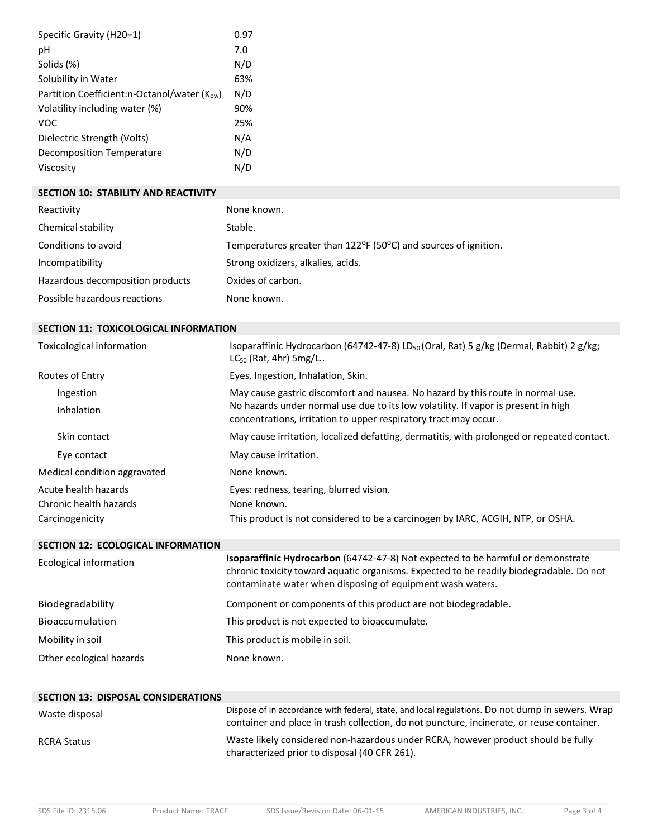| Specific Gravity (H20=1)                           | 0.97 |
|----------------------------------------------------|------|
| рH                                                 | 7.0  |
| Solids (%)                                         | N/D  |
| Solubility in Water                                | 63%  |
| Partition Coefficient:n-Octanol/water ( $K_{ow}$ ) | N/D  |
| Volatility including water (%)                     | 90%  |
| <b>VOC</b>                                         | 25%  |
| Dielectric Strength (Volts)                        | N/A  |
| Decomposition Temperature                          | N/D  |
| Viscosity                                          | N/D  |

## **SECTION 10: STABILITY AND REACTIVITY**

| Reactivity                       | None known.                                                                               |
|----------------------------------|-------------------------------------------------------------------------------------------|
| Chemical stability               | Stable.                                                                                   |
| Conditions to avoid              | Temperatures greater than 122 <sup>o</sup> F (50 <sup>o</sup> C) and sources of ignition. |
| Incompatibility                  | Strong oxidizers, alkalies, acids.                                                        |
| Hazardous decomposition products | Oxides of carbon.                                                                         |
| Possible hazardous reactions     | None known.                                                                               |

## **SECTION 11: TOXICOLOGICAL INFORMATION**

| Toxicological information    | Isoparaffinic Hydrocarbon (64742-47-8) LD <sub>50</sub> (Oral, Rat) 5 g/kg (Dermal, Rabbit) 2 g/kg;<br>$LC_{50}$ (Rat, 4hr) 5mg/L                      |
|------------------------------|--------------------------------------------------------------------------------------------------------------------------------------------------------|
| Routes of Entry              | Eyes, Ingestion, Inhalation, Skin.                                                                                                                     |
| Ingestion                    | May cause gastric discomfort and nausea. No hazard by this route in normal use.                                                                        |
| <b>Inhalation</b>            | No hazards under normal use due to its low volatility. If vapor is present in high<br>concentrations, irritation to upper respiratory tract may occur. |
| Skin contact                 | May cause irritation, localized defatting, dermatitis, with prolonged or repeated contact.                                                             |
| Eye contact                  | May cause irritation.                                                                                                                                  |
| Medical condition aggravated | None known.                                                                                                                                            |
| Acute health hazards         | Eyes: redness, tearing, blurred vision.                                                                                                                |
| Chronic health hazards       | None known.                                                                                                                                            |
| Carcinogenicity              | This product is not considered to be a carcinogen by IARC, ACGIH, NTP, or OSHA.                                                                        |

#### **SECTION 12: ECOLOGICAL INFORMATION**

| Ecological information   | Isoparaffinic Hydrocarbon (64742-47-8) Not expected to be harmful or demonstrate<br>chronic toxicity toward aquatic organisms. Expected to be readily biodegradable. Do not<br>contaminate water when disposing of equipment wash waters. |
|--------------------------|-------------------------------------------------------------------------------------------------------------------------------------------------------------------------------------------------------------------------------------------|
| Biodegradability         | Component or components of this product are not biodegradable.                                                                                                                                                                            |
| Bioaccumulation          | This product is not expected to bioaccumulate.                                                                                                                                                                                            |
| Mobility in soil         | This product is mobile in soil.                                                                                                                                                                                                           |
| Other ecological hazards | None known.                                                                                                                                                                                                                               |

| <b>SECTION 13: DISPOSAL CONSIDERATIONS</b> |                                                                                                                                                                                               |
|--------------------------------------------|-----------------------------------------------------------------------------------------------------------------------------------------------------------------------------------------------|
| Waste disposal                             | Dispose of in accordance with federal, state, and local regulations. Do not dump in sewers. Wrap<br>container and place in trash collection, do not puncture, incinerate, or reuse container. |
| <b>RCRA Status</b>                         | Waste likely considered non-hazardous under RCRA, however product should be fully<br>characterized prior to disposal (40 CFR 261).                                                            |